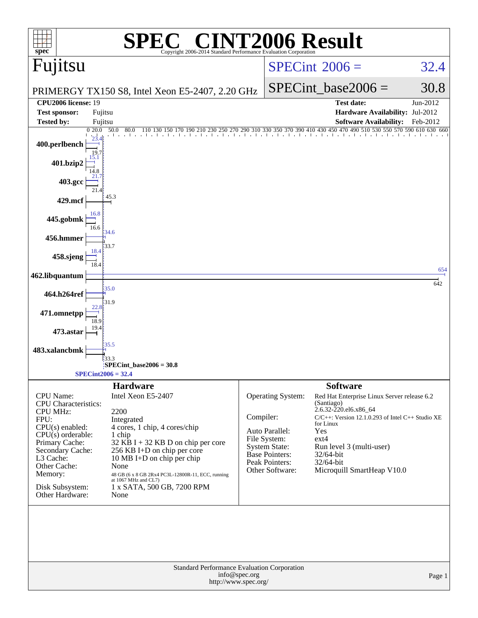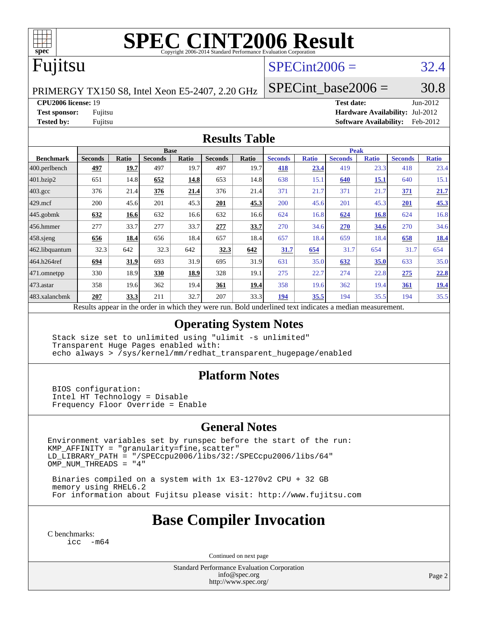

# **[SPEC CINT2006 Result](http://www.spec.org/auto/cpu2006/Docs/result-fields.html#SPECCINT2006Result)**

# Fujitsu

### $SPECint2006 = 32.4$  $SPECint2006 = 32.4$

PRIMERGY TX150 S8, Intel Xeon E5-2407, 2.20 GHz

SPECint base2006 =  $30.8$ 

**[CPU2006 license:](http://www.spec.org/auto/cpu2006/Docs/result-fields.html#CPU2006license)** 19 **[Test date:](http://www.spec.org/auto/cpu2006/Docs/result-fields.html#Testdate)** Jun-2012

**[Test sponsor:](http://www.spec.org/auto/cpu2006/Docs/result-fields.html#Testsponsor)** Fujitsu **[Hardware Availability:](http://www.spec.org/auto/cpu2006/Docs/result-fields.html#HardwareAvailability)** Jul-2012 **[Tested by:](http://www.spec.org/auto/cpu2006/Docs/result-fields.html#Testedby)** Fujitsu **[Software Availability:](http://www.spec.org/auto/cpu2006/Docs/result-fields.html#SoftwareAvailability)** Feb-2012

#### **[Results Table](http://www.spec.org/auto/cpu2006/Docs/result-fields.html#ResultsTable)**

|                  | <b>Base</b>                                                                                              |              |                |       |                |       | <b>Peak</b>    |              |                |              |                |              |
|------------------|----------------------------------------------------------------------------------------------------------|--------------|----------------|-------|----------------|-------|----------------|--------------|----------------|--------------|----------------|--------------|
| <b>Benchmark</b> | <b>Seconds</b>                                                                                           | <b>Ratio</b> | <b>Seconds</b> | Ratio | <b>Seconds</b> | Ratio | <b>Seconds</b> | <b>Ratio</b> | <b>Seconds</b> | <b>Ratio</b> | <b>Seconds</b> | <b>Ratio</b> |
| 400.perlbench    | 497                                                                                                      | 19.7         | 497            | 19.7  | 497            | 19.7  | 418            | 23.4         | 419            | 23.3         | 418            | 23.4         |
| 401.bzip2        | 651                                                                                                      | 14.8         | 652            | 14.8  | 653            | 14.8  | 638            | 15.1         | 640            | 15.1         | 640            | 15.1         |
| $403.\text{gcc}$ | 376                                                                                                      | 21.4         | 376            | 21.4  | 376            | 21.4  | 371            | 21.7         | 371            | 21.7         | 371            | 21.7         |
| $429$ .mcf       | 200                                                                                                      | 45.6         | 201            | 45.3  | 201            | 45.3  | 200            | 45.6         | 201            | 45.3         | 201            | 45.3         |
| $445$ .gobmk     | 632                                                                                                      | 16.6         | 632            | 16.6  | 632            | 16.6  | 624            | 16.8         | 624            | 16.8         | 624            | 16.8         |
| 456.hmmer        | 277                                                                                                      | 33.7         | 277            | 33.7  | 277            | 33.7  | 270            | 34.6         | 270            | 34.6         | 270            | 34.6         |
| $458$ .sjeng     | 656                                                                                                      | 18.4         | 656            | 18.4  | 657            | 18.4  | 657            | 18.4         | 659            | 18.4         | 658            | 18.4         |
| 462.libquantum   | 32.3                                                                                                     | 642          | 32.3           | 642   | 32.3           | 642   | 31.7           | 654          | 31.7           | 654          | 31.7           | 654          |
| 464.h264ref      | 694                                                                                                      | 31.9         | 693            | 31.9  | 695            | 31.9  | 631            | 35.0         | 632            | 35.0         | 633            | 35.0         |
| 471.omnetpp      | 330                                                                                                      | 18.9         | 330            | 18.9  | 328            | 19.1  | 275            | 22.7         | 274            | 22.8         | 275            | 22.8         |
| 473.astar        | 358                                                                                                      | 19.6         | 362            | 19.4  | 361            | 19.4  | 358            | 19.6         | 362            | 19.4         | 361            | <u>19.4</u>  |
| 483.xalancbmk    | 207                                                                                                      | 33.3         | 211            | 32.7  | 207            | 33.3  | 194            | 35.5         | 194            | 35.5         | 194            | 35.5         |
|                  | Results appear in the order in which they were run. Bold underlined text indicates a median measurement. |              |                |       |                |       |                |              |                |              |                |              |

#### **[Operating System Notes](http://www.spec.org/auto/cpu2006/Docs/result-fields.html#OperatingSystemNotes)**

 Stack size set to unlimited using "ulimit -s unlimited" Transparent Huge Pages enabled with: echo always > /sys/kernel/mm/redhat\_transparent\_hugepage/enabled

### **[Platform Notes](http://www.spec.org/auto/cpu2006/Docs/result-fields.html#PlatformNotes)**

 BIOS configuration: Intel HT Technology = Disable Frequency Floor Override = Enable

### **[General Notes](http://www.spec.org/auto/cpu2006/Docs/result-fields.html#GeneralNotes)**

Environment variables set by runspec before the start of the run:  $KMP_A$ FFINITY = "granularity=fine, scatter" LD\_LIBRARY\_PATH = "/SPECcpu2006/libs/32:/SPECcpu2006/libs/64" OMP\_NUM\_THREADS = "4"

 Binaries compiled on a system with 1x E3-1270v2 CPU + 32 GB memory using RHEL6.2 For information about Fujitsu please visit: <http://www.fujitsu.com>

# **[Base Compiler Invocation](http://www.spec.org/auto/cpu2006/Docs/result-fields.html#BaseCompilerInvocation)**

[C benchmarks](http://www.spec.org/auto/cpu2006/Docs/result-fields.html#Cbenchmarks): [icc -m64](http://www.spec.org/cpu2006/results/res2012q3/cpu2006-20120810-24118.flags.html#user_CCbase_intel_icc_64bit_f346026e86af2a669e726fe758c88044)

Continued on next page

Standard Performance Evaluation Corporation [info@spec.org](mailto:info@spec.org) <http://www.spec.org/>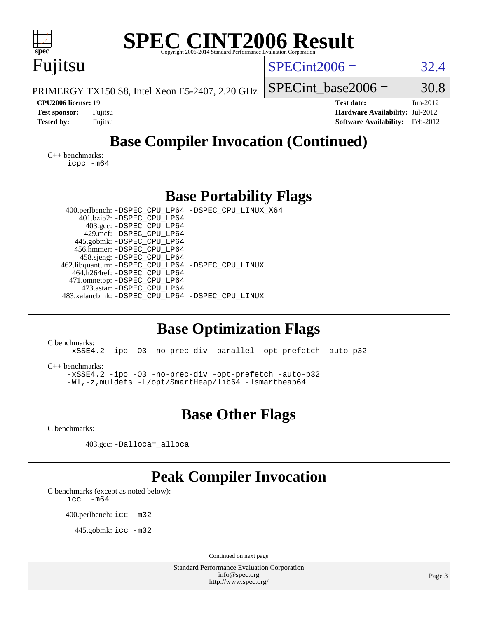| <b>SPEC CINT2006 Result</b><br>spec <sup>®</sup><br>Copyright 2006-2014 Standard Performance Evaluation Corporation                                                                                                                                                                                                                                                                                                                                                                                                                                                                                                                                                                                          |                                                                                                               |  |  |  |  |  |  |
|--------------------------------------------------------------------------------------------------------------------------------------------------------------------------------------------------------------------------------------------------------------------------------------------------------------------------------------------------------------------------------------------------------------------------------------------------------------------------------------------------------------------------------------------------------------------------------------------------------------------------------------------------------------------------------------------------------------|---------------------------------------------------------------------------------------------------------------|--|--|--|--|--|--|
| Fujitsu                                                                                                                                                                                                                                                                                                                                                                                                                                                                                                                                                                                                                                                                                                      | $SPECint2006 =$<br>32.4                                                                                       |  |  |  |  |  |  |
| PRIMERGY TX150 S8, Intel Xeon E5-2407, 2.20 GHz                                                                                                                                                                                                                                                                                                                                                                                                                                                                                                                                                                                                                                                              | 30.8<br>$SPECint base2006 =$                                                                                  |  |  |  |  |  |  |
| CPU2006 license: 19<br><b>Test sponsor:</b><br>Fujitsu<br><b>Tested by:</b><br>Fujitsu                                                                                                                                                                                                                                                                                                                                                                                                                                                                                                                                                                                                                       | <b>Test date:</b><br>Jun-2012<br>Hardware Availability: Jul-2012<br><b>Software Availability:</b><br>Feb-2012 |  |  |  |  |  |  |
| <b>Base Compiler Invocation (Continued)</b>                                                                                                                                                                                                                                                                                                                                                                                                                                                                                                                                                                                                                                                                  |                                                                                                               |  |  |  |  |  |  |
| $C_{++}$ benchmarks:<br>$icpc$ $-m64$                                                                                                                                                                                                                                                                                                                                                                                                                                                                                                                                                                                                                                                                        |                                                                                                               |  |  |  |  |  |  |
| <b>Base Portability Flags</b>                                                                                                                                                                                                                                                                                                                                                                                                                                                                                                                                                                                                                                                                                |                                                                                                               |  |  |  |  |  |  |
| 400.perlbench: -DSPEC_CPU_LP64 -DSPEC_CPU_LINUX_X64<br>401.bzip2: -DSPEC_CPU_LP64<br>403.gcc: -DSPEC_CPU_LP64<br>429.mcf: -DSPEC_CPU_LP64<br>445.gobmk: -DSPEC_CPU_LP64<br>456.hmmer: - DSPEC CPU LP64<br>458.sjeng: -DSPEC_CPU_LP64<br>462.libquantum: - DSPEC_CPU_LP64 - DSPEC_CPU_LINUX<br>464.h264ref: -DSPEC_CPU_LP64<br>471.omnetpp: -DSPEC_CPU_LP64<br>473.astar: -DSPEC_CPU_LP64<br>483.xalancbmk: -DSPEC_CPU_LP64 -DSPEC_CPU_LINUX<br><b>Base Optimization Flags</b><br>C benchmarks:<br>-xSSE4.2 -ipo -03 -no-prec-div -parallel -opt-prefetch -auto-p32<br>$C_{++}$ benchmarks:<br>-xSSE4.2 -ipo -03 -no-prec-div -opt-prefetch -auto-p32<br>-Wl,-z, muldefs -L/opt/SmartHeap/lib64 -lsmartheap64 |                                                                                                               |  |  |  |  |  |  |
| <b>Base Other Flags</b>                                                                                                                                                                                                                                                                                                                                                                                                                                                                                                                                                                                                                                                                                      |                                                                                                               |  |  |  |  |  |  |
| C benchmarks:                                                                                                                                                                                                                                                                                                                                                                                                                                                                                                                                                                                                                                                                                                |                                                                                                               |  |  |  |  |  |  |
| 403.gcc: -Dalloca=_alloca                                                                                                                                                                                                                                                                                                                                                                                                                                                                                                                                                                                                                                                                                    |                                                                                                               |  |  |  |  |  |  |
| <b>Peak Compiler Invocation</b><br>C benchmarks (except as noted below):<br>$-m64$<br>icc<br>400.perlbench: icc -m32<br>445.gobmk: icc -m32                                                                                                                                                                                                                                                                                                                                                                                                                                                                                                                                                                  |                                                                                                               |  |  |  |  |  |  |
| Continued on next page<br><b>Standard Performance Evaluation Corporation</b>                                                                                                                                                                                                                                                                                                                                                                                                                                                                                                                                                                                                                                 |                                                                                                               |  |  |  |  |  |  |
| info@spec.org<br>http://www.spec.org/                                                                                                                                                                                                                                                                                                                                                                                                                                                                                                                                                                                                                                                                        | Page 3                                                                                                        |  |  |  |  |  |  |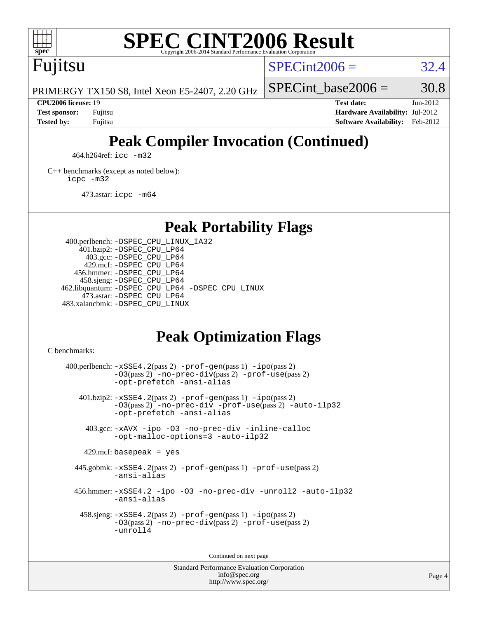

# **[SPEC CINT2006 Result](http://www.spec.org/auto/cpu2006/Docs/result-fields.html#SPECCINT2006Result)**

Fujitsu

 $SPECint2006 = 32.4$  $SPECint2006 = 32.4$ 

PRIMERGY TX150 S8, Intel Xeon E5-2407, 2.20 GHz

**[Tested by:](http://www.spec.org/auto/cpu2006/Docs/result-fields.html#Testedby)** Fujitsu **[Software Availability:](http://www.spec.org/auto/cpu2006/Docs/result-fields.html#SoftwareAvailability)** Feb-2012

SPECint base2006 =  $30.8$ **[CPU2006 license:](http://www.spec.org/auto/cpu2006/Docs/result-fields.html#CPU2006license)** 19 **[Test date:](http://www.spec.org/auto/cpu2006/Docs/result-fields.html#Testdate)** Jun-2012 **[Test sponsor:](http://www.spec.org/auto/cpu2006/Docs/result-fields.html#Testsponsor)** Fujitsu **[Hardware Availability:](http://www.spec.org/auto/cpu2006/Docs/result-fields.html#HardwareAvailability)** Jul-2012

# **[Peak Compiler Invocation \(Continued\)](http://www.spec.org/auto/cpu2006/Docs/result-fields.html#PeakCompilerInvocation)**

464.h264ref: [icc -m32](http://www.spec.org/cpu2006/results/res2012q3/cpu2006-20120810-24118.flags.html#user_peakCCLD464_h264ref_intel_icc_a6a621f8d50482236b970c6ac5f55f93)

[C++ benchmarks \(except as noted below\):](http://www.spec.org/auto/cpu2006/Docs/result-fields.html#CXXbenchmarksexceptasnotedbelow) [icpc -m32](http://www.spec.org/cpu2006/results/res2012q3/cpu2006-20120810-24118.flags.html#user_CXXpeak_intel_icpc_4e5a5ef1a53fd332b3c49e69c3330699)

473.astar: [icpc -m64](http://www.spec.org/cpu2006/results/res2012q3/cpu2006-20120810-24118.flags.html#user_peakCXXLD473_astar_intel_icpc_64bit_fc66a5337ce925472a5c54ad6a0de310)

**[Peak Portability Flags](http://www.spec.org/auto/cpu2006/Docs/result-fields.html#PeakPortabilityFlags)**

 400.perlbench: [-DSPEC\\_CPU\\_LINUX\\_IA32](http://www.spec.org/cpu2006/results/res2012q3/cpu2006-20120810-24118.flags.html#b400.perlbench_peakCPORTABILITY_DSPEC_CPU_LINUX_IA32) 401.bzip2: [-DSPEC\\_CPU\\_LP64](http://www.spec.org/cpu2006/results/res2012q3/cpu2006-20120810-24118.flags.html#suite_peakPORTABILITY401_bzip2_DSPEC_CPU_LP64) 403.gcc: [-DSPEC\\_CPU\\_LP64](http://www.spec.org/cpu2006/results/res2012q3/cpu2006-20120810-24118.flags.html#suite_peakPORTABILITY403_gcc_DSPEC_CPU_LP64) 429.mcf: [-DSPEC\\_CPU\\_LP64](http://www.spec.org/cpu2006/results/res2012q3/cpu2006-20120810-24118.flags.html#suite_peakPORTABILITY429_mcf_DSPEC_CPU_LP64) 456.hmmer: [-DSPEC\\_CPU\\_LP64](http://www.spec.org/cpu2006/results/res2012q3/cpu2006-20120810-24118.flags.html#suite_peakPORTABILITY456_hmmer_DSPEC_CPU_LP64) 458.sjeng: [-DSPEC\\_CPU\\_LP64](http://www.spec.org/cpu2006/results/res2012q3/cpu2006-20120810-24118.flags.html#suite_peakPORTABILITY458_sjeng_DSPEC_CPU_LP64) 462.libquantum: [-DSPEC\\_CPU\\_LP64](http://www.spec.org/cpu2006/results/res2012q3/cpu2006-20120810-24118.flags.html#suite_peakPORTABILITY462_libquantum_DSPEC_CPU_LP64) [-DSPEC\\_CPU\\_LINUX](http://www.spec.org/cpu2006/results/res2012q3/cpu2006-20120810-24118.flags.html#b462.libquantum_peakCPORTABILITY_DSPEC_CPU_LINUX) 473.astar: [-DSPEC\\_CPU\\_LP64](http://www.spec.org/cpu2006/results/res2012q3/cpu2006-20120810-24118.flags.html#suite_peakPORTABILITY473_astar_DSPEC_CPU_LP64) 483.xalancbmk: [-DSPEC\\_CPU\\_LINUX](http://www.spec.org/cpu2006/results/res2012q3/cpu2006-20120810-24118.flags.html#b483.xalancbmk_peakCXXPORTABILITY_DSPEC_CPU_LINUX)

# **[Peak Optimization Flags](http://www.spec.org/auto/cpu2006/Docs/result-fields.html#PeakOptimizationFlags)**

[C benchmarks](http://www.spec.org/auto/cpu2006/Docs/result-fields.html#Cbenchmarks):

 $400.$ perlbench:  $-xSSE4$ .  $2(pass 2)$  -prof-qen(pass 1) [-ipo](http://www.spec.org/cpu2006/results/res2012q3/cpu2006-20120810-24118.flags.html#user_peakPASS2_CFLAGSPASS2_LDCFLAGS400_perlbench_f-ipo)(pass 2) [-O3](http://www.spec.org/cpu2006/results/res2012q3/cpu2006-20120810-24118.flags.html#user_peakPASS2_CFLAGSPASS2_LDCFLAGS400_perlbench_f-O3)(pass 2) [-no-prec-div](http://www.spec.org/cpu2006/results/res2012q3/cpu2006-20120810-24118.flags.html#user_peakPASS2_CFLAGSPASS2_LDCFLAGS400_perlbench_f-no-prec-div)(pass 2) [-prof-use](http://www.spec.org/cpu2006/results/res2012q3/cpu2006-20120810-24118.flags.html#user_peakPASS2_CFLAGSPASS2_LDCFLAGS400_perlbench_prof_use_bccf7792157ff70d64e32fe3e1250b55)(pass 2) [-opt-prefetch](http://www.spec.org/cpu2006/results/res2012q3/cpu2006-20120810-24118.flags.html#user_peakCOPTIMIZE400_perlbench_f-opt-prefetch) [-ansi-alias](http://www.spec.org/cpu2006/results/res2012q3/cpu2006-20120810-24118.flags.html#user_peakCOPTIMIZE400_perlbench_f-ansi-alias) 401.bzip2: [-xSSE4.2](http://www.spec.org/cpu2006/results/res2012q3/cpu2006-20120810-24118.flags.html#user_peakPASS2_CFLAGSPASS2_LDCFLAGS401_bzip2_f-xSSE42_f91528193cf0b216347adb8b939d4107)(pass 2) [-prof-gen](http://www.spec.org/cpu2006/results/res2012q3/cpu2006-20120810-24118.flags.html#user_peakPASS1_CFLAGSPASS1_LDCFLAGS401_bzip2_prof_gen_e43856698f6ca7b7e442dfd80e94a8fc)(pass 1) [-ipo](http://www.spec.org/cpu2006/results/res2012q3/cpu2006-20120810-24118.flags.html#user_peakPASS2_CFLAGSPASS2_LDCFLAGS401_bzip2_f-ipo)(pass 2) [-O3](http://www.spec.org/cpu2006/results/res2012q3/cpu2006-20120810-24118.flags.html#user_peakPASS2_CFLAGSPASS2_LDCFLAGS401_bzip2_f-O3)(pass 2) [-no-prec-div](http://www.spec.org/cpu2006/results/res2012q3/cpu2006-20120810-24118.flags.html#user_peakCOPTIMIZEPASS2_CFLAGSPASS2_LDCFLAGS401_bzip2_f-no-prec-div) [-prof-use](http://www.spec.org/cpu2006/results/res2012q3/cpu2006-20120810-24118.flags.html#user_peakPASS2_CFLAGSPASS2_LDCFLAGS401_bzip2_prof_use_bccf7792157ff70d64e32fe3e1250b55)(pass 2) [-auto-ilp32](http://www.spec.org/cpu2006/results/res2012q3/cpu2006-20120810-24118.flags.html#user_peakCOPTIMIZE401_bzip2_f-auto-ilp32) [-opt-prefetch](http://www.spec.org/cpu2006/results/res2012q3/cpu2006-20120810-24118.flags.html#user_peakCOPTIMIZE401_bzip2_f-opt-prefetch) [-ansi-alias](http://www.spec.org/cpu2006/results/res2012q3/cpu2006-20120810-24118.flags.html#user_peakCOPTIMIZE401_bzip2_f-ansi-alias) 403.gcc: [-xAVX](http://www.spec.org/cpu2006/results/res2012q3/cpu2006-20120810-24118.flags.html#user_peakCOPTIMIZE403_gcc_f-xAVX) [-ipo](http://www.spec.org/cpu2006/results/res2012q3/cpu2006-20120810-24118.flags.html#user_peakCOPTIMIZE403_gcc_f-ipo) [-O3](http://www.spec.org/cpu2006/results/res2012q3/cpu2006-20120810-24118.flags.html#user_peakCOPTIMIZE403_gcc_f-O3) [-no-prec-div](http://www.spec.org/cpu2006/results/res2012q3/cpu2006-20120810-24118.flags.html#user_peakCOPTIMIZE403_gcc_f-no-prec-div) [-inline-calloc](http://www.spec.org/cpu2006/results/res2012q3/cpu2006-20120810-24118.flags.html#user_peakCOPTIMIZE403_gcc_f-inline-calloc) [-opt-malloc-options=3](http://www.spec.org/cpu2006/results/res2012q3/cpu2006-20120810-24118.flags.html#user_peakCOPTIMIZE403_gcc_f-opt-malloc-options_13ab9b803cf986b4ee62f0a5998c2238) [-auto-ilp32](http://www.spec.org/cpu2006/results/res2012q3/cpu2006-20120810-24118.flags.html#user_peakCOPTIMIZE403_gcc_f-auto-ilp32)  $429$ .mcf: basepeak = yes 445.gobmk: [-xSSE4.2](http://www.spec.org/cpu2006/results/res2012q3/cpu2006-20120810-24118.flags.html#user_peakPASS2_CFLAGSPASS2_LDCFLAGS445_gobmk_f-xSSE42_f91528193cf0b216347adb8b939d4107)(pass 2) [-prof-gen](http://www.spec.org/cpu2006/results/res2012q3/cpu2006-20120810-24118.flags.html#user_peakPASS1_CFLAGSPASS1_LDCFLAGS445_gobmk_prof_gen_e43856698f6ca7b7e442dfd80e94a8fc)(pass 1) [-prof-use](http://www.spec.org/cpu2006/results/res2012q3/cpu2006-20120810-24118.flags.html#user_peakPASS2_CFLAGSPASS2_LDCFLAGS445_gobmk_prof_use_bccf7792157ff70d64e32fe3e1250b55)(pass 2) [-ansi-alias](http://www.spec.org/cpu2006/results/res2012q3/cpu2006-20120810-24118.flags.html#user_peakCOPTIMIZE445_gobmk_f-ansi-alias) 456.hmmer: [-xSSE4.2](http://www.spec.org/cpu2006/results/res2012q3/cpu2006-20120810-24118.flags.html#user_peakCOPTIMIZE456_hmmer_f-xSSE42_f91528193cf0b216347adb8b939d4107) [-ipo](http://www.spec.org/cpu2006/results/res2012q3/cpu2006-20120810-24118.flags.html#user_peakCOPTIMIZE456_hmmer_f-ipo) [-O3](http://www.spec.org/cpu2006/results/res2012q3/cpu2006-20120810-24118.flags.html#user_peakCOPTIMIZE456_hmmer_f-O3) [-no-prec-div](http://www.spec.org/cpu2006/results/res2012q3/cpu2006-20120810-24118.flags.html#user_peakCOPTIMIZE456_hmmer_f-no-prec-div) [-unroll2](http://www.spec.org/cpu2006/results/res2012q3/cpu2006-20120810-24118.flags.html#user_peakCOPTIMIZE456_hmmer_f-unroll_784dae83bebfb236979b41d2422d7ec2) [-auto-ilp32](http://www.spec.org/cpu2006/results/res2012q3/cpu2006-20120810-24118.flags.html#user_peakCOPTIMIZE456_hmmer_f-auto-ilp32) [-ansi-alias](http://www.spec.org/cpu2006/results/res2012q3/cpu2006-20120810-24118.flags.html#user_peakCOPTIMIZE456_hmmer_f-ansi-alias) 458.sjeng: [-xSSE4.2](http://www.spec.org/cpu2006/results/res2012q3/cpu2006-20120810-24118.flags.html#user_peakPASS2_CFLAGSPASS2_LDCFLAGS458_sjeng_f-xSSE42_f91528193cf0b216347adb8b939d4107)(pass 2) [-prof-gen](http://www.spec.org/cpu2006/results/res2012q3/cpu2006-20120810-24118.flags.html#user_peakPASS1_CFLAGSPASS1_LDCFLAGS458_sjeng_prof_gen_e43856698f6ca7b7e442dfd80e94a8fc)(pass 1) [-ipo](http://www.spec.org/cpu2006/results/res2012q3/cpu2006-20120810-24118.flags.html#user_peakPASS2_CFLAGSPASS2_LDCFLAGS458_sjeng_f-ipo)(pass 2) [-O3](http://www.spec.org/cpu2006/results/res2012q3/cpu2006-20120810-24118.flags.html#user_peakPASS2_CFLAGSPASS2_LDCFLAGS458_sjeng_f-O3)(pass 2) [-no-prec-div](http://www.spec.org/cpu2006/results/res2012q3/cpu2006-20120810-24118.flags.html#user_peakPASS2_CFLAGSPASS2_LDCFLAGS458_sjeng_f-no-prec-div)(pass 2) [-prof-use](http://www.spec.org/cpu2006/results/res2012q3/cpu2006-20120810-24118.flags.html#user_peakPASS2_CFLAGSPASS2_LDCFLAGS458_sjeng_prof_use_bccf7792157ff70d64e32fe3e1250b55)(pass 2) [-unroll4](http://www.spec.org/cpu2006/results/res2012q3/cpu2006-20120810-24118.flags.html#user_peakCOPTIMIZE458_sjeng_f-unroll_4e5e4ed65b7fd20bdcd365bec371b81f)

Continued on next page

Standard Performance Evaluation Corporation [info@spec.org](mailto:info@spec.org) <http://www.spec.org/>